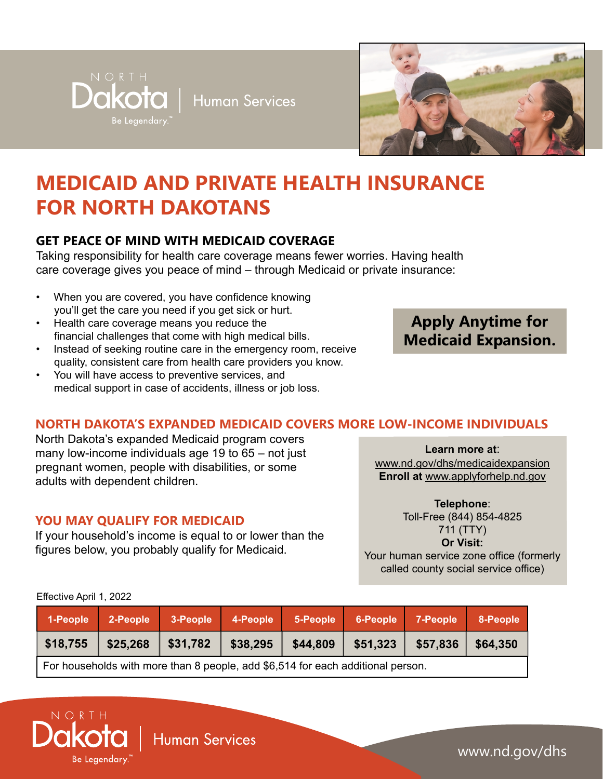$Dakota$  | Human Services



# **MEDICAID AND PRIVATE HEALTH INSURANCE FOR NORTH DAKOTANS**

# **GET PEACE OF MIND WITH MEDICAID COVERAGE**

Be Legendary.

Taking responsibility for health care coverage means fewer worries. Having health care coverage gives you peace of mind – through Medicaid or private insurance:

- When you are covered, you have confidence knowing you'll get the care you need if you get sick or hurt.
- Health care coverage means you reduce the financial challenges that come with high medical bills.
- Instead of seeking routine care in the emergency room, receive quality, consistent care from health care providers you know.
- You will have access to preventive services, and medical support in case of accidents, illness or job loss.

# **Apply Anytime for Medicaid Expansion.**

# **NORTH DAKOTA'S EXPANDED MEDICAID COVERS MORE LOW-INCOME INDIVIDUALS**

North Dakota's expanded Medicaid program covers many low-income individuals age 19 to 65 – not just pregnant women, people with disabilities, or some adults with dependent children.

#### **YOU MAY QUALIFY FOR MEDICAID**

If your household's income is equal to or lower than the figures below, you probably qualify for Medicaid.

**Learn more at**:

[www.nd.gov/dhs/medicaidexpansion](http://www.nd.gov/dhs/medicaidexpansion) **Enroll at** [www.applyforhelp.nd.gov](http://www.applyforhelp.nd.gov)

**Telephone**:

Toll-Free (844) 854-4825 711 (TTY) **Or Visit:** Your human service zone office (formerly called county social service office)

| 1-People                                                                        | 2-People |          |          | 3-People 4-People 5-People 6-People 7-People |           |          | 8-People |
|---------------------------------------------------------------------------------|----------|----------|----------|----------------------------------------------|-----------|----------|----------|
| \$18,755                                                                        | \$25,268 | \$31,782 | \$38,295 | \$44,809                                     | $$51,323$ | \$57,836 | \$64,350 |
| For households with more than 8 people, add \$6,514 for each additional person. |          |          |          |                                              |           |          |          |

#### Effective April 1, 2022



Human Services

www.nd.gov/dhs